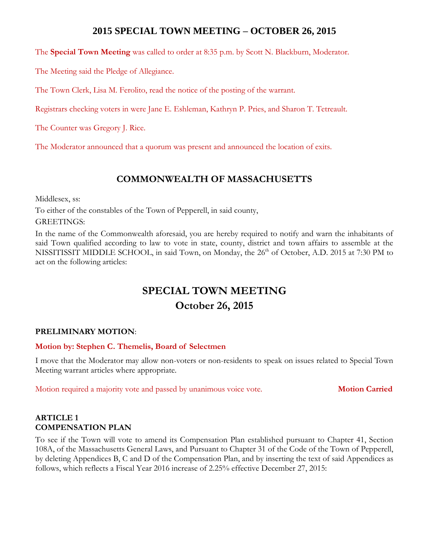# **2015 SPECIAL TOWN MEETING – OCTOBER 26, 2015**

The **Special Town Meeting** was called to order at 8:35 p.m. by Scott N. Blackburn, Moderator.

The Meeting said the Pledge of Allegiance.

The Town Clerk, Lisa M. Ferolito, read the notice of the posting of the warrant.

Registrars checking voters in were Jane E. Eshleman, Kathryn P. Pries, and Sharon T. Tetreault.

The Counter was Gregory J. Rice.

The Moderator announced that a quorum was present and announced the location of exits.

# **COMMONWEALTH OF MASSACHUSETTS**

Middlesex, ss:

To either of the constables of the Town of Pepperell, in said county,

GREETINGS:

In the name of the Commonwealth aforesaid, you are hereby required to notify and warn the inhabitants of said Town qualified according to law to vote in state, county, district and town affairs to assemble at the NISSITISSIT MIDDLE SCHOOL, in said Town, on Monday, the 26<sup>th</sup> of October, A.D. 2015 at 7:30 PM to act on the following articles:

# **SPECIAL TOWN MEETING October 26, 2015**

# **PRELIMINARY MOTION**:

# **Motion by: Stephen C. Themelis, Board of Selectmen**

I move that the Moderator may allow non-voters or non-residents to speak on issues related to Special Town Meeting warrant articles where appropriate.

Motion required a majority vote and passed by unanimous voice vote. **Motion Carried**

# **ARTICLE 1 COMPENSATION PLAN**

To see if the Town will vote to amend its Compensation Plan established pursuant to Chapter 41, Section 108A, of the Massachusetts General Laws, and Pursuant to Chapter 31 of the Code of the Town of Pepperell, by deleting Appendices B, C and D of the Compensation Plan, and by inserting the text of said Appendices as follows, which reflects a Fiscal Year 2016 increase of 2.25% effective December 27, 2015: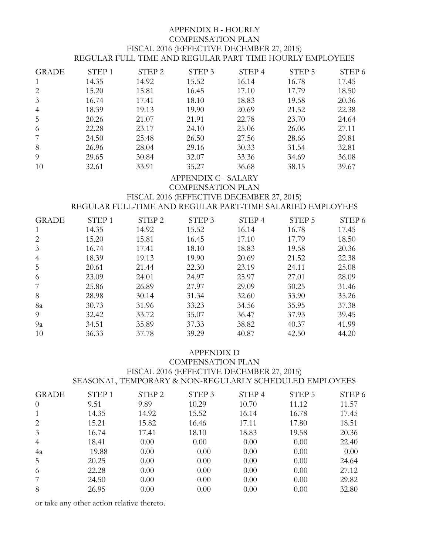#### APPENDIX B - HOURLY COMPENSATION PLAN FISCAL 2016 (EFFECTIVE DECEMBER 27, 2015) REGULAR FULL-TIME AND REGULAR PART-TIME HOURLY EMPLOYEES

| <b>GRADE</b>   | STEP <sub>1</sub> | STEP <sub>2</sub> | STEP <sub>3</sub> | STEP 4 | STEP 5 | STEP 6 |
|----------------|-------------------|-------------------|-------------------|--------|--------|--------|
| 1              | 14.35             | 14.92             | 15.52             | 16.14  | 16.78  | 17.45  |
| 2              | 15.20             | 15.81             | 16.45             | 17.10  | 17.79  | 18.50  |
| 3              | 16.74             | 17.41             | 18.10             | 18.83  | 19.58  | 20.36  |
| $\overline{4}$ | 18.39             | 19.13             | 19.90             | 20.69  | 21.52  | 22.38  |
| 5              | 20.26             | 21.07             | 21.91             | 22.78  | 23.70  | 24.64  |
| 6              | 22.28             | 23.17             | 24.10             | 25.06  | 26.06  | 27.11  |
| 7              | 24.50             | 25.48             | 26.50             | 27.56  | 28.66  | 29.81  |
| 8              | 26.96             | 28.04             | 29.16             | 30.33  | 31.54  | 32.81  |
| 9              | 29.65             | 30.84             | 32.07             | 33.36  | 34.69  | 36.08  |
| 10             | 32.61             | 33.91             | 35.27             | 36.68  | 38.15  | 39.67  |

#### APPENDIX C - SALARY

COMPENSATION PLAN

#### FISCAL 2016 (EFFECTIVE DECEMBER 27, 2015)

REGULAR FULL-TIME AND REGULAR PART-TIME SALARIED EMPLOYEES

| <b>GRADE</b>   | STEP <sub>1</sub> | STEP <sub>2</sub> | STEP <sub>3</sub> | STEP 4 | STEP <sub>5</sub> | STEP 6 |
|----------------|-------------------|-------------------|-------------------|--------|-------------------|--------|
| $\mathbf{1}$   | 14.35             | 14.92             | 15.52             | 16.14  | 16.78             | 17.45  |
| 2              | 15.20             | 15.81             | 16.45             | 17.10  | 17.79             | 18.50  |
| 3              | 16.74             | 17.41             | 18.10             | 18.83  | 19.58             | 20.36  |
| $\overline{4}$ | 18.39             | 19.13             | 19.90             | 20.69  | 21.52             | 22.38  |
| 5              | 20.61             | 21.44             | 22.30             | 23.19  | 24.11             | 25.08  |
| 6              | 23.09             | 24.01             | 24.97             | 25.97  | 27.01             | 28.09  |
| 7              | 25.86             | 26.89             | 27.97             | 29.09  | 30.25             | 31.46  |
| 8              | 28.98             | 30.14             | 31.34             | 32.60  | 33.90             | 35.26  |
| 8a             | 30.73             | 31.96             | 33.23             | 34.56  | 35.95             | 37.38  |
| 9              | 32.42             | 33.72             | 35.07             | 36.47  | 37.93             | 39.45  |
| 9a             | 34.51             | 35.89             | 37.33             | 38.82  | 40.37             | 41.99  |
| 10             | 36.33             | 37.78             | 39.29             | 40.87  | 42.50             | 44.20  |

#### APPENDIX D

#### COMPENSATION PLAN FISCAL 2016 (EFFECTIVE DECEMBER 27, 2015) SEASONAL, TEMPORARY & NON-REGULARLY SCHEDULED EMPLOYEES

| <b>GRADE</b>   | STEP <sub>1</sub> | STEP <sub>2</sub> | STEP <sub>3</sub> | STEP 4 | STEP 5 | STEP 6 |
|----------------|-------------------|-------------------|-------------------|--------|--------|--------|
| $\theta$       | 9.51              | 9.89              | 10.29             | 10.70  | 11.12  | 11.57  |
| 1              | 14.35             | 14.92             | 15.52             | 16.14  | 16.78  | 17.45  |
| 2              | 15.21             | 15.82             | 16.46             | 17.11  | 17.80  | 18.51  |
| 3              | 16.74             | 17.41             | 18.10             | 18.83  | 19.58  | 20.36  |
| $\overline{4}$ | 18.41             | 0.00              | 0.00              | 0.00   | 0.00   | 22.40  |
| 4a             | 19.88             | 0.00              | 0.00              | 0.00   | 0.00   | 0.00   |
| 5              | 20.25             | 0.00              | 0.00              | 0.00   | 0.00   | 24.64  |
| 6              | 22.28             | 0.00              | 0.00              | 0.00   | 0.00   | 27.12  |
| 7              | 24.50             | 0.00              | 0.00              | 0.00   | 0.00   | 29.82  |
| 8              | 26.95             | 0.00              | 0.00              | 0.00   | 0.00   | 32.80  |

or take any other action relative thereto.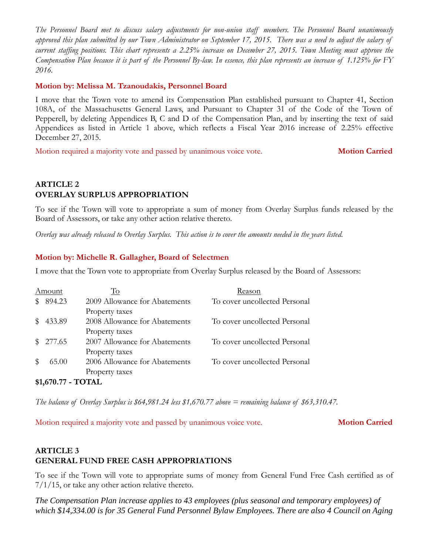*The Personnel Board met to discuss salary adjustments for non-union staff members. The Personnel Board unanimously approved this plan submitted by our Town Administrator on September 17, 2015. There was a need to adjust the salary of current staffing positions. This chart represents a 2.25% increase on December 27, 2015. Town Meeting must approve the Compensation Plan because it is part of the Personnel By-law. In essence, this plan represents an increase of 1.125% for FY 2016.*

#### **Motion by: Melissa M. Tzanoudakis, Personnel Board**

I move that the Town vote to amend its Compensation Plan established pursuant to Chapter 41, Section 108A, of the Massachusetts General Laws, and Pursuant to Chapter 31 of the Code of the Town of Pepperell, by deleting Appendices B, C and D of the Compensation Plan, and by inserting the text of said Appendices as listed in Article 1 above, which reflects a Fiscal Year 2016 increase of 2.25% effective December 27, 2015.

Motion required a majority vote and passed by unanimous voice vote. **Motion Carried**

# **ARTICLE 2 OVERLAY SURPLUS APPROPRIATION**

To see if the Town will vote to appropriate a sum of money from Overlay Surplus funds released by the Board of Assessors, or take any other action relative thereto.

*Overlay was already released to Overlay Surplus. This action is to cover the amounts needed in the years listed.*

### **Motion by: Michelle R. Gallagher, Board of Selectmen**

I move that the Town vote to appropriate from Overlay Surplus released by the Board of Assessors:

|                    | Amount   | To                            | Reason                        |  |  |
|--------------------|----------|-------------------------------|-------------------------------|--|--|
|                    | 894.23   | 2009 Allowance for Abatements | To cover uncollected Personal |  |  |
|                    |          | Property taxes                |                               |  |  |
|                    | 433.89   | 2008 Allowance for Abatements | To cover uncollected Personal |  |  |
|                    |          | Property taxes                |                               |  |  |
|                    | \$277.65 | 2007 Allowance for Abatements | To cover uncollected Personal |  |  |
|                    |          | Property taxes                |                               |  |  |
|                    | 65.00    | 2006 Allowance for Abatements | To cover uncollected Personal |  |  |
|                    |          | Property taxes                |                               |  |  |
| \$1,670.77 - TOTAL |          |                               |                               |  |  |

*The balance of Overlay Surplus is \$64,981.24 less \$1,670.77 above = remaining balance of \$63,310.47.*

Motion required a majority vote and passed by unanimous voice vote. **Motion Carried**

# **ARTICLE 3 GENERAL FUND FREE CASH APPROPRIATIONS**

To see if the Town will vote to appropriate sums of money from General Fund Free Cash certified as of 7/1/15, or take any other action relative thereto.

*The Compensation Plan increase applies to 43 employees (plus seasonal and temporary employees) of which \$14,334.00 is for 35 General Fund Personnel Bylaw Employees. There are also 4 Council on Aging*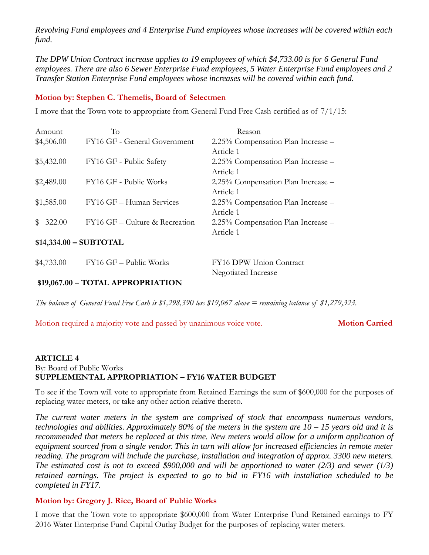*Revolving Fund employees and 4 Enterprise Fund employees whose increases will be covered within each fund.*

*The DPW Union Contract increase applies to 19 employees of which \$4,733.00 is for 6 General Fund employees. There are also 6 Sewer Enterprise Fund employees, 5 Water Enterprise Fund employees and 2 Transfer Station Enterprise Fund employees whose increases will be covered within each fund.*

#### **Motion by: Stephen C. Themelis, Board of Selectmen**

I move that the Town vote to appropriate from General Fund Free Cash certified as of 7/1/15:

| Amount                  | To                             | Reason                             |  |  |
|-------------------------|--------------------------------|------------------------------------|--|--|
| \$4,506.00              | FY16 GF - General Government   | 2.25% Compensation Plan Increase – |  |  |
|                         |                                | Article 1                          |  |  |
| \$5,432.00              | FY16 GF - Public Safety        | 2.25% Compensation Plan Increase – |  |  |
|                         |                                | Article 1                          |  |  |
| \$2,489.00              | FY16 GF - Public Works         | 2.25% Compensation Plan Increase – |  |  |
|                         |                                | Article 1                          |  |  |
| \$1,585.00              | FY16 GF - Human Services       | 2.25% Compensation Plan Increase – |  |  |
|                         |                                | Article 1                          |  |  |
| \$322.00                | FY16 GF – Culture & Recreation | 2.25% Compensation Plan Increase – |  |  |
|                         |                                | Article 1                          |  |  |
| $$14,334.00 - SUBTOTAL$ |                                |                                    |  |  |
|                         |                                |                                    |  |  |

# \$4,733.00 FY16 GF – Public Works FY16 DPW Union Contract Negotiated Increase

### **\$19,067.00 – TOTAL APPROPRIATION**

*The balance of General Fund Free Cash is \$1,298,390 less \$19,067 above = remaining balance of \$1,279,323.*

Motion required a majority vote and passed by unanimous voice vote. **Motion Carried**

#### **ARTICLE 4** By: Board of Public Works **SUPPLEMENTAL APPROPRIATION – FY16 WATER BUDGET**

To see if the Town will vote to appropriate from Retained Earnings the sum of \$600,000 for the purposes of replacing water meters, or take any other action relative thereto.

*The current water meters in the system are comprised of stock that encompass numerous vendors, technologies and abilities. Approximately 80% of the meters in the system are 10 – 15 years old and it is recommended that meters be replaced at this time. New meters would allow for a uniform application of equipment sourced from a single vendor. This in turn will allow for increased efficiencies in remote meter reading. The program will include the purchase, installation and integration of approx. 3300 new meters. The estimated cost is not to exceed \$900,000 and will be apportioned to water (2/3) and sewer (1/3) retained earnings. The project is expected to go to bid in FY16 with installation scheduled to be completed in FY17.*

### **Motion by: Gregory J. Rice, Board of Public Works**

I move that the Town vote to appropriate \$600,000 from Water Enterprise Fund Retained earnings to FY 2016 Water Enterprise Fund Capital Outlay Budget for the purposes of replacing water meters.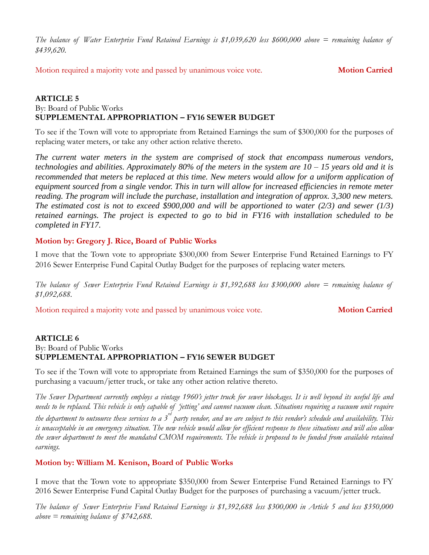*The balance of Water Enterprise Fund Retained Earnings is \$1,039,620 less \$600,000 above = remaining balance of \$439,620.*

Motion required a majority vote and passed by unanimous voice vote. **Motion Carried**

#### **ARTICLE 5** By: Board of Public Works **SUPPLEMENTAL APPROPRIATION – FY16 SEWER BUDGET**

To see if the Town will vote to appropriate from Retained Earnings the sum of \$300,000 for the purposes of replacing water meters, or take any other action relative thereto.

*The current water meters in the system are comprised of stock that encompass numerous vendors, technologies and abilities. Approximately 80% of the meters in the system are 10 – 15 years old and it is recommended that meters be replaced at this time. New meters would allow for a uniform application of equipment sourced from a single vendor. This in turn will allow for increased efficiencies in remote meter reading. The program will include the purchase, installation and integration of approx. 3,300 new meters. The estimated cost is not to exceed \$900,000 and will be apportioned to water (2/3) and sewer (1/3) retained earnings. The project is expected to go to bid in FY16 with installation scheduled to be completed in FY17.*

### **Motion by: Gregory J. Rice, Board of Public Works**

I move that the Town vote to appropriate \$300,000 from Sewer Enterprise Fund Retained Earnings to FY 2016 Sewer Enterprise Fund Capital Outlay Budget for the purposes of replacing water meters.

*The balance of Sewer Enterprise Fund Retained Earnings is \$1,392,688 less \$300,000 above = remaining balance of \$1,092,688.*

Motion required a majority vote and passed by unanimous voice vote. **Motion Carried**

#### **ARTICLE 6** By: Board of Public Works **SUPPLEMENTAL APPROPRIATION – FY16 SEWER BUDGET**

To see if the Town will vote to appropriate from Retained Earnings the sum of \$350,000 for the purposes of purchasing a vacuum/jetter truck, or take any other action relative thereto.

*The Sewer Department currently employs a vintage 1960's jetter truck for sewer blockages. It is well beyond its useful life and needs to be replaced. This vehicle is only capable of 'jetting' and cannot vacuum clean. Situations requiring a vacuum unit require*  the department to outsource these services to a 3<sup>rd</sup> party vendor, and we are subject to this vendor's schedule and availability. This *is unacceptable in an emergency situation. The new vehicle would allow for efficient response to these situations and will also allow the sewer department to meet the mandated CMOM requirements. The vehicle is proposed to be funded from available retained earnings.*

### **Motion by: William M. Kenison, Board of Public Works**

I move that the Town vote to appropriate \$350,000 from Sewer Enterprise Fund Retained Earnings to FY 2016 Sewer Enterprise Fund Capital Outlay Budget for the purposes of purchasing a vacuum/jetter truck.

*The balance of Sewer Enterprise Fund Retained Earnings is \$1,392,688 less \$300,000 in Article 5 and less \$350,000 above = remaining balance of \$742,688.*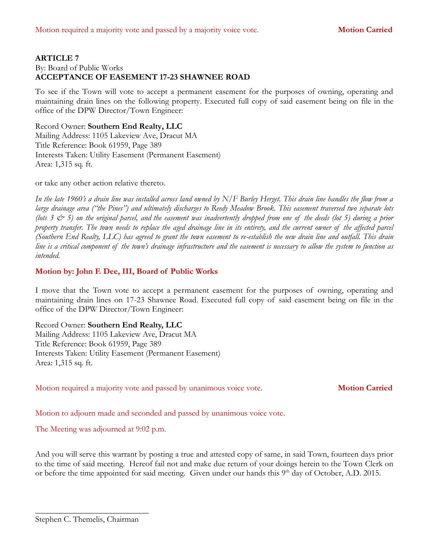#### **ARTICLE 7** By: Board of Public Works **ACCEPTANCE OF EASEMENT 17-23 SHAWNEE ROAD**

To see if the Town will vote to accept a permanent easement for the purposes of owning, operating and maintaining drain lines on the following property. Executed full copy of said easement being on file in the office of the DPW Director/Town Engineer:

#### Record Owner: **Southern End Realty, LLC**

Mailing Address: 1105 Lakeview Ave, Dracut MA Title Reference: Book 61959, Page 389 Interests Taken: Utility Easement (Permanent Easement) Area: 1,315 sq. ft.

or take any other action relative thereto.

*In the late 1960's a drain line was installed across land owned by N/F Burley Herget. This drain line handles the flow from a large drainage area ("the Pines") and ultimately discharges to Reedy Meadow Brook. This easement traversed two separate lots (lots 3 & 5) on the original parcel, and the easement was inadvertently dropped from one of the deeds (lot 5) during a prior property transfer. The town needs to replace the aged drainage line in its entirety, and the current owner of the affected parcel (Southern End Realty, LLC) has agreed to grant the town easement to re-establish the new drain line and outfall. This drain line is a critical component of the town's drainage infrastructure and the easement is necessary to allow the system to function as intended.* 

#### **Motion by: John F. Dee, III, Board of Public Works**

I move that the Town vote to accept a permanent easement for the purposes of owning, operating and maintaining drain lines on 17-23 Shawnee Road. Executed full copy of said easement being on file in the office of the DPW Director/Town Engineer:

#### Record Owner: **Southern End Realty, LLC**

Mailing Address: 1105 Lakeview Ave, Dracut MA Title Reference: Book 61959, Page 389 Interests Taken: Utility Easement (Permanent Easement) Area: 1,315 sq. ft.

Motion required a majority vote and passed by unanimous voice vote. **Motion Carried**

Motion to adjourn made and seconded and passed by unanimous voice vote.

The Meeting was adjourned at 9:02 p.m.

And you will serve this warrant by posting a true and attested copy of same, in said Town, fourteen days prior to the time of said meeting. Hereof fail not and make due return of your doings herein to the Town Clerk on or before the time appointed for said meeting. Given under our hands this 9<sup>th</sup> day of October, A.D. 2015.